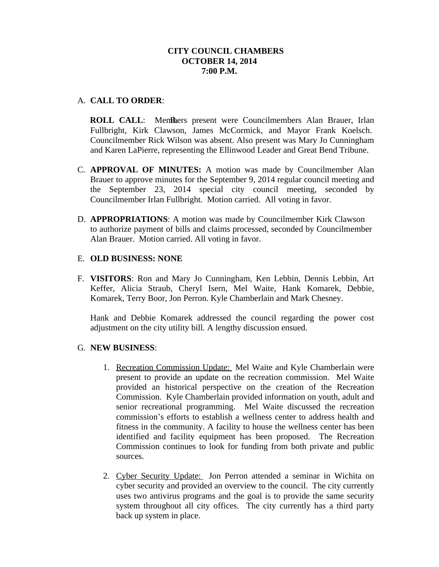# **CITY COUNCIL CHAMBERS OCTOBER 14, 2014 7:00 P.M.**

### A. **CALL TO ORDER**:

**ROLL CALL:** Members present were Councilmembers Alan Brauer, Irlan Fullbright, Kirk Clawson, James McCormick, and Mayor Frank Koelsch. Councilmember Rick Wilson was absent. Also present was Mary Jo Cunningham and Karen LaPierre, representing the Ellinwood Leader and Great Bend Tribune.

- C. **APPROVAL OF MINUTES:** A motion was made by Councilmember Alan Brauer to approve minutes for the September 9, 2014 regular council meeting and the September 23, 2014 special city council meeting, seconded by Councilmember Irlan Fullbright. Motion carried. All voting in favor.
- D. **APPROPRIATIONS**: A motion was made by Councilmember Kirk Clawson to authorize payment of bills and claims processed, seconded by Councilmember Alan Brauer. Motion carried. All voting in favor.

### E. **OLD BUSINESS: NONE**

F. **VISITORS**: Ron and Mary Jo Cunningham, Ken Lebbin, Dennis Lebbin, Art Keffer, Alicia Straub, Cheryl Isern, Mel Waite, Hank Komarek, Debbie, Komarek, Terry Boor, Jon Perron. Kyle Chamberlain and Mark Chesney.

Hank and Debbie Komarek addressed the council regarding the power cost adjustment on the city utility bill. A lengthy discussion ensued.

#### G. **NEW BUSINESS**:

- 1. Recreation Commission Update: Mel Waite and Kyle Chamberlain were present to provide an update on the recreation commission. Mel Waite provided an historical perspective on the creation of the Recreation Commission. Kyle Chamberlain provided information on youth, adult and senior recreational programming. Mel Waite discussed the recreation commission's efforts to establish a wellness center to address health and fitness in the community. A facility to house the wellness center has been identified and facility equipment has been proposed. The Recreation Commission continues to look for funding from both private and public sources.
- 2. Cyber Security Update: Jon Perron attended a seminar in Wichita on cyber security and provided an overview to the council. The city currently uses two antivirus programs and the goal is to provide the same security system throughout all city offices. The city currently has a third party back up system in place.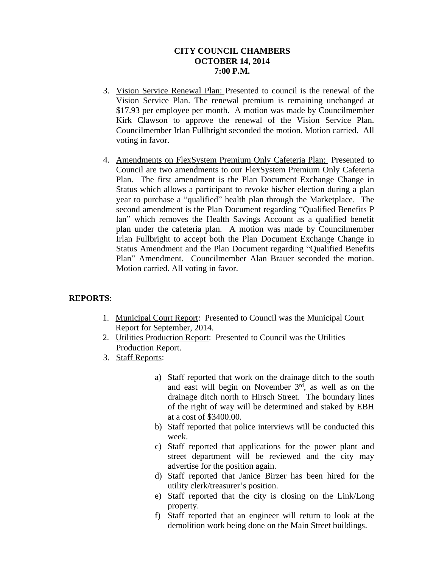# **CITY COUNCIL CHAMBERS OCTOBER 14, 2014 7:00 P.M.**

- 3. Vision Service Renewal Plan: Presented to council is the renewal of the Vision Service Plan. The renewal premium is remaining unchanged at \$17.93 per employee per month. A motion was made by Councilmember Kirk Clawson to approve the renewal of the Vision Service Plan. Councilmember Irlan Fullbright seconded the motion. Motion carried. All voting in favor.
- 4. Amendments on FlexSystem Premium Only Cafeteria Plan: Presented to Council are two amendments to our FlexSystem Premium Only Cafeteria Plan. The first amendment is the Plan Document Exchange Change in Status which allows a participant to revoke his/her election during a plan year to purchase a "qualified" health plan through the Marketplace. The second amendment is the Plan Document regarding "Qualified Benefits P lan" which removes the Health Savings Account as a qualified benefit plan under the cafeteria plan. A motion was made by Councilmember Irlan Fullbright to accept both the Plan Document Exchange Change in Status Amendment and the Plan Document regarding "Qualified Benefits Plan" Amendment. Councilmember Alan Brauer seconded the motion. Motion carried. All voting in favor.

# **REPORTS**:

- 1. Municipal Court Report: Presented to Council was the Municipal Court Report for September, 2014.
- 2. Utilities Production Report: Presented to Council was the Utilities Production Report.
- 3. Staff Reports:
	- a) Staff reported that work on the drainage ditch to the south and east will begin on November 3<sup>rd</sup>, as well as on the drainage ditch north to Hirsch Street. The boundary lines of the right of way will be determined and staked by EBH at a cost of \$3400.00.
	- b) Staff reported that police interviews will be conducted this week.
	- c) Staff reported that applications for the power plant and street department will be reviewed and the city may advertise for the position again.
	- d) Staff reported that Janice Birzer has been hired for the utility clerk/treasurer's position.
	- e) Staff reported that the city is closing on the Link/Long property.
	- f) Staff reported that an engineer will return to look at the demolition work being done on the Main Street buildings.